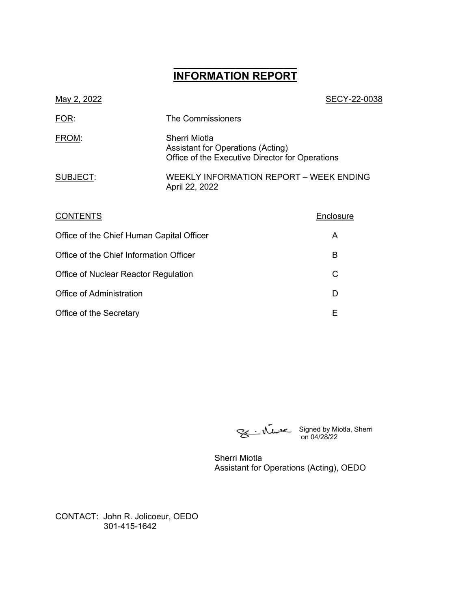# **\_\_\_\_\_\_\_\_\_\_\_\_\_\_\_\_\_\_ INFORMATION REPORT**

| May 2, 2022                               |                                                                                                       | SECY-22-0038 |
|-------------------------------------------|-------------------------------------------------------------------------------------------------------|--------------|
| <u>FOR:</u>                               | The Commissioners                                                                                     |              |
| FROM:                                     | Sherri Miotla<br>Assistant for Operations (Acting)<br>Office of the Executive Director for Operations |              |
| SUBJECT:                                  | <b>WEEKLY INFORMATION REPORT - WEEK ENDING</b><br>April 22, 2022                                      |              |
| <b>CONTENTS</b>                           |                                                                                                       | Enclosure    |
| Office of the Chief Human Capital Officer |                                                                                                       | A            |
| Office of the Chief Information Officer   |                                                                                                       | B            |
| Office of Nuclear Reactor Regulation      |                                                                                                       | C            |
| Office of Administration                  |                                                                                                       | D            |
|                                           |                                                                                                       |              |

Office of the Secretary **E** 

Signed by Miotla, Sherri on 04/28/22

Sherri Miotla Assistant for Operations (Acting), OEDO

CONTACT: John R. Jolicoeur, OEDO 301-415-1642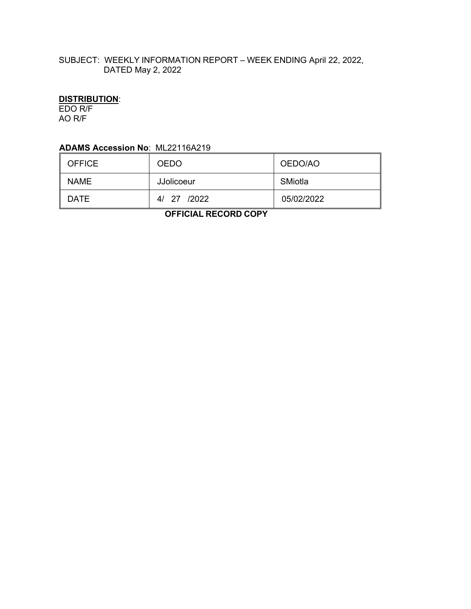## SUBJECT: WEEKLY INFORMATION REPORT – WEEK ENDING April 22, 2022, DATED May 2, 2022

# **DISTRIBUTION**:

EDO R/F AO R/F

## **ADAMS Accession No**: ML22116A219

| <b>OFFICE</b> | <b>OEDO</b> | OEDO/AO    |
|---------------|-------------|------------|
| <b>NAME</b>   | JJolicoeur  | SMiotla    |
| DATE          | 4/ 27 /2022 | 05/02/2022 |

 **OFFICIAL RECORD COPY**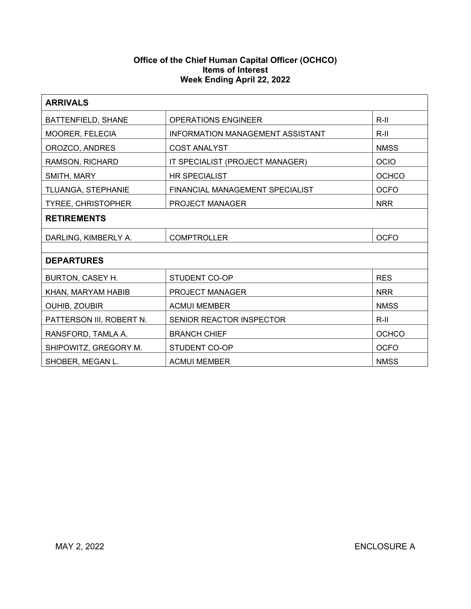### **Office of the Chief Human Capital Officer (OCHCO) Items of Interest Week Ending April 22, 2022**

| <b>ARRIVALS</b>                                             |                                         |              |  |  |
|-------------------------------------------------------------|-----------------------------------------|--------------|--|--|
| $R-III$<br>BATTENFIELD, SHANE<br><b>OPERATIONS ENGINEER</b> |                                         |              |  |  |
| MOORER, FELECIA                                             | <b>INFORMATION MANAGEMENT ASSISTANT</b> | $R-II$       |  |  |
| OROZCO, ANDRES                                              | <b>COST ANALYST</b>                     | <b>NMSS</b>  |  |  |
| RAMSON, RICHARD                                             | IT SPECIALIST (PROJECT MANAGER)         | <b>OCIO</b>  |  |  |
| SMITH, MARY                                                 | <b>HR SPECIALIST</b>                    | <b>OCHCO</b> |  |  |
| TLUANGA, STEPHANIE                                          | FINANCIAL MANAGEMENT SPECIALIST         | <b>OCFO</b>  |  |  |
| <b>TYREE, CHRISTOPHER</b>                                   | <b>PROJECT MANAGER</b>                  | <b>NRR</b>   |  |  |
| <b>RETIREMENTS</b>                                          |                                         |              |  |  |
| DARLING, KIMBERLY A.                                        | <b>COMPTROLLER</b>                      | <b>OCFO</b>  |  |  |
|                                                             |                                         |              |  |  |
| <b>DEPARTURES</b>                                           |                                         |              |  |  |
| BURTON, CASEY H.                                            | STUDENT CO-OP                           | <b>RES</b>   |  |  |
| KHAN, MARYAM HABIB                                          | <b>PROJECT MANAGER</b>                  | <b>NRR</b>   |  |  |
| OUHIB, ZOUBIR                                               | <b>ACMUI MEMBER</b>                     | <b>NMSS</b>  |  |  |
| PATTERSON III, ROBERT N.                                    | SENIOR REACTOR INSPECTOR                | $R-II$       |  |  |
| RANSFORD, TAMLA A.                                          | <b>BRANCH CHIEF</b>                     | <b>OCHCO</b> |  |  |
| SHIPOWITZ, GREGORY M.                                       | <b>STUDENT CO-OP</b>                    | <b>OCFO</b>  |  |  |
| SHOBER, MEGAN L.                                            | <b>ACMUI MEMBER</b><br><b>NMSS</b>      |              |  |  |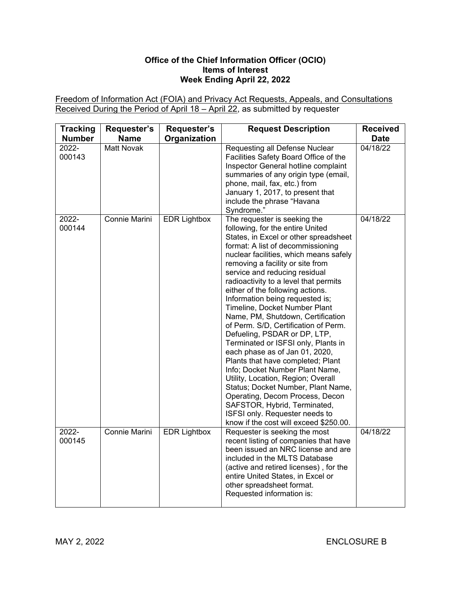## **Office of the Chief Information Officer (OCIO) Items of Interest Week Ending April 22, 2022**

Freedom of Information Act (FOIA) and Privacy Act Requests, Appeals, and Consultations Received During the Period of April 18 – April 22, as submitted by requester

| <b>Tracking</b><br><b>Number</b> | Requester's<br><b>Name</b> | Requester's<br>Organization | <b>Request Description</b>                                                                                                                                                                                                                                                                                                                                                                                                                                                                                                                                                                                                                                                                                                                                                                                                                                                                              | <b>Received</b><br><b>Date</b> |
|----------------------------------|----------------------------|-----------------------------|---------------------------------------------------------------------------------------------------------------------------------------------------------------------------------------------------------------------------------------------------------------------------------------------------------------------------------------------------------------------------------------------------------------------------------------------------------------------------------------------------------------------------------------------------------------------------------------------------------------------------------------------------------------------------------------------------------------------------------------------------------------------------------------------------------------------------------------------------------------------------------------------------------|--------------------------------|
| 2022-<br>000143                  | <b>Matt Novak</b>          |                             | Requesting all Defense Nuclear<br>Facilities Safety Board Office of the<br>Inspector General hotline complaint<br>summaries of any origin type (email,<br>phone, mail, fax, etc.) from<br>January 1, 2017, to present that<br>include the phrase "Havana<br>Syndrome."                                                                                                                                                                                                                                                                                                                                                                                                                                                                                                                                                                                                                                  | 04/18/22                       |
| 2022-<br>000144                  | Connie Marini              | <b>EDR Lightbox</b>         | The requester is seeking the<br>following, for the entire United<br>States, in Excel or other spreadsheet<br>format: A list of decommissioning<br>nuclear facilities, which means safely<br>removing a facility or site from<br>service and reducing residual<br>radioactivity to a level that permits<br>either of the following actions.<br>Information being requested is;<br>Timeline, Docket Number Plant<br>Name, PM, Shutdown, Certification<br>of Perm. S/D, Certification of Perm.<br>Defueling, PSDAR or DP, LTP,<br>Terminated or ISFSI only, Plants in<br>each phase as of Jan 01, 2020,<br>Plants that have completed; Plant<br>Info; Docket Number Plant Name,<br>Utility, Location, Region; Overall<br>Status; Docket Number, Plant Name,<br>Operating, Decom Process, Decon<br>SAFSTOR, Hybrid, Terminated,<br>ISFSI only. Requester needs to<br>know if the cost will exceed \$250.00. | 04/18/22                       |
| 2022-<br>000145                  | Connie Marini              | <b>EDR Lightbox</b>         | Requester is seeking the most<br>recent listing of companies that have<br>been issued an NRC license and are<br>included in the MLTS Database<br>(active and retired licenses), for the<br>entire United States, in Excel or<br>other spreadsheet format.<br>Requested information is:                                                                                                                                                                                                                                                                                                                                                                                                                                                                                                                                                                                                                  | 04/18/22                       |

MAY 2, 2022 ENCLOSURE B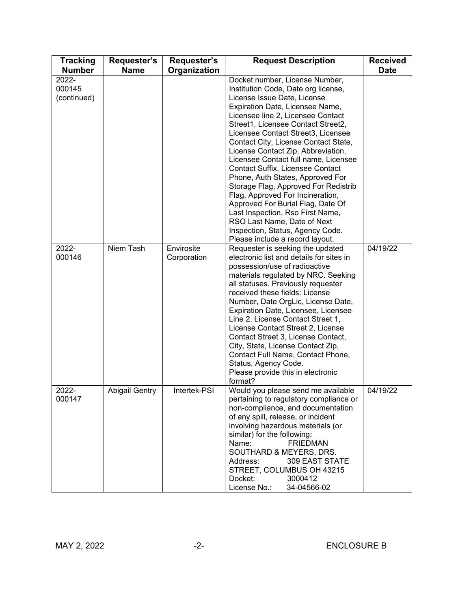| <b>Tracking</b><br><b>Number</b> | <b>Requester's</b><br><b>Name</b> | Requester's<br>Organization | <b>Request Description</b>                                                                                                                                                                                                                                                                                                                                                                                                                                                                                                                                                                                                                                                     | <b>Received</b><br><b>Date</b> |
|----------------------------------|-----------------------------------|-----------------------------|--------------------------------------------------------------------------------------------------------------------------------------------------------------------------------------------------------------------------------------------------------------------------------------------------------------------------------------------------------------------------------------------------------------------------------------------------------------------------------------------------------------------------------------------------------------------------------------------------------------------------------------------------------------------------------|--------------------------------|
| 2022-<br>000145<br>(continued)   |                                   |                             | Docket number, License Number,<br>Institution Code, Date org license,<br>License Issue Date, License<br>Expiration Date, Licensee Name,<br>Licensee line 2, Licensee Contact<br>Street1, Licensee Contact Street2,<br>Licensee Contact Street3, Licensee<br>Contact City, License Contact State,<br>License Contact Zip, Abbreviation,<br>Licensee Contact full name, Licensee<br>Contact Suffix, Licensee Contact<br>Phone, Auth States, Approved For<br>Storage Flag, Approved For Redistrib<br>Flag, Approved For Incineration,<br>Approved For Burial Flag, Date Of<br>Last Inspection, Rso First Name,<br>RSO Last Name, Date of Next<br>Inspection, Status, Agency Code. |                                |
| 2022-<br>000146                  | Niem Tash                         | Envirosite<br>Corporation   | Please include a record layout.<br>Requester is seeking the updated<br>electronic list and details for sites in<br>possession/use of radioactive<br>materials regulated by NRC. Seeking<br>all statuses. Previously requester<br>received these fields: License<br>Number, Date OrgLic, License Date,<br>Expiration Date, Licensee, Licensee<br>Line 2, License Contact Street 1,<br>License Contact Street 2, License<br>Contact Street 3, License Contact,<br>City, State, License Contact Zip,<br>Contact Full Name, Contact Phone,<br>Status, Agency Code.<br>Please provide this in electronic<br>format?                                                                 | 04/19/22                       |
| 2022-<br>000147                  | <b>Abigail Gentry</b>             | Intertek-PSI                | Would you please send me available<br>pertaining to regulatory compliance or<br>non-compliance, and documentation<br>of any spill, release, or incident<br>involving hazardous materials (or<br>similar) for the following:<br>Name:<br><b>FRIEDMAN</b><br>SOUTHARD & MEYERS, DRS.<br>Address:<br>309 EAST STATE<br>STREET, COLUMBUS OH 43215<br>Docket:<br>3000412<br>License No.:<br>34-04566-02                                                                                                                                                                                                                                                                             | 04/19/22                       |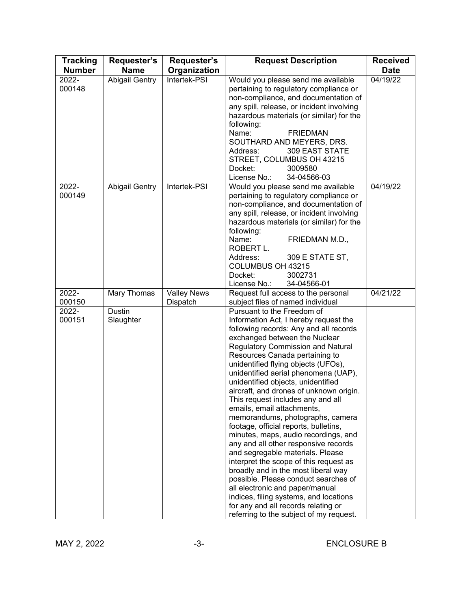| <b>Tracking</b> | Requester's           | Requester's        | <b>Request Description</b>                                                   | <b>Received</b> |
|-----------------|-----------------------|--------------------|------------------------------------------------------------------------------|-----------------|
| <b>Number</b>   | <b>Name</b>           | Organization       |                                                                              | <b>Date</b>     |
| 2022-           | Abigail Gentry        | Intertek-PSI       | Would you please send me available                                           | 04/19/22        |
| 000148          |                       |                    | pertaining to regulatory compliance or                                       |                 |
|                 |                       |                    | non-compliance, and documentation of                                         |                 |
|                 |                       |                    | any spill, release, or incident involving                                    |                 |
|                 |                       |                    | hazardous materials (or similar) for the                                     |                 |
|                 |                       |                    | following:<br>Name:<br><b>FRIEDMAN</b>                                       |                 |
|                 |                       |                    | SOUTHARD AND MEYERS, DRS.                                                    |                 |
|                 |                       |                    | Address:<br><b>309 EAST STATE</b>                                            |                 |
|                 |                       |                    | STREET, COLUMBUS OH 43215                                                    |                 |
|                 |                       |                    | Docket:<br>3009580                                                           |                 |
|                 |                       |                    | License No.:<br>34-04566-03                                                  |                 |
| 2022-           | <b>Abigail Gentry</b> | Intertek-PSI       | Would you please send me available                                           | 04/19/22        |
| 000149          |                       |                    | pertaining to regulatory compliance or                                       |                 |
|                 |                       |                    | non-compliance, and documentation of                                         |                 |
|                 |                       |                    | any spill, release, or incident involving                                    |                 |
|                 |                       |                    | hazardous materials (or similar) for the                                     |                 |
|                 |                       |                    | following:<br>Name:                                                          |                 |
|                 |                       |                    | FRIEDMAN M.D.,<br>ROBERT L.                                                  |                 |
|                 |                       |                    | Address:<br>309 E STATE ST,                                                  |                 |
|                 |                       |                    | COLUMBUS OH 43215                                                            |                 |
|                 |                       |                    | Docket:<br>3002731                                                           |                 |
|                 |                       |                    | License No.:<br>34-04566-01                                                  |                 |
| 2022-           | Mary Thomas           | <b>Valley News</b> | Request full access to the personal                                          | 04/21/22        |
| 000150          |                       | Dispatch           | subject files of named individual                                            |                 |
| 2022-           | Dustin                |                    | Pursuant to the Freedom of                                                   |                 |
| 000151          | Slaughter             |                    | Information Act, I hereby request the                                        |                 |
|                 |                       |                    | following records: Any and all records                                       |                 |
|                 |                       |                    | exchanged between the Nuclear<br><b>Regulatory Commission and Natural</b>    |                 |
|                 |                       |                    | Resources Canada pertaining to                                               |                 |
|                 |                       |                    | unidentified flying objects (UFOs),                                          |                 |
|                 |                       |                    | unidentified aerial phenomena (UAP),                                         |                 |
|                 |                       |                    | unidentified objects, unidentified                                           |                 |
|                 |                       |                    | aircraft, and drones of unknown origin.                                      |                 |
|                 |                       |                    | This request includes any and all                                            |                 |
|                 |                       |                    | emails, email attachments,                                                   |                 |
|                 |                       |                    | memorandums, photographs, camera                                             |                 |
|                 |                       |                    | footage, official reports, bulletins,                                        |                 |
|                 |                       |                    | minutes, maps, audio recordings, and<br>any and all other responsive records |                 |
|                 |                       |                    | and segregable materials. Please                                             |                 |
|                 |                       |                    | interpret the scope of this request as                                       |                 |
|                 |                       |                    | broadly and in the most liberal way                                          |                 |
|                 |                       |                    | possible. Please conduct searches of                                         |                 |
|                 |                       |                    | all electronic and paper/manual                                              |                 |
|                 |                       |                    | indices, filing systems, and locations                                       |                 |
|                 |                       |                    | for any and all records relating or                                          |                 |
|                 |                       |                    | referring to the subject of my request.                                      |                 |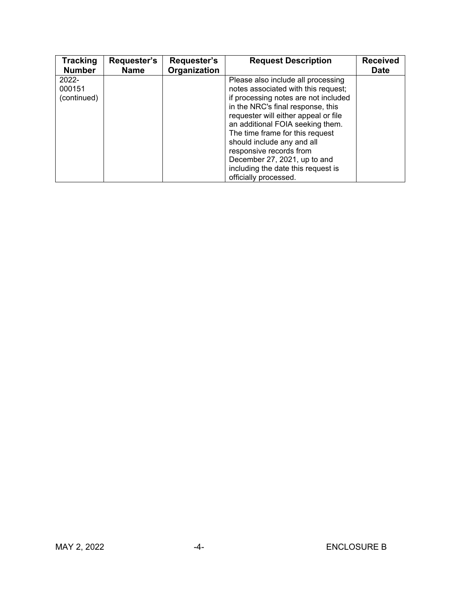| <b>Tracking</b><br><b>Number</b> | Requester's<br><b>Name</b> | Requester's<br>Organization | <b>Request Description</b>           | <b>Received</b><br><b>Date</b> |
|----------------------------------|----------------------------|-----------------------------|--------------------------------------|--------------------------------|
| $2022 -$                         |                            |                             | Please also include all processing   |                                |
| 000151                           |                            |                             | notes associated with this request;  |                                |
| (continued)                      |                            |                             | if processing notes are not included |                                |
|                                  |                            |                             | in the NRC's final response, this    |                                |
|                                  |                            |                             | requester will either appeal or file |                                |
|                                  |                            |                             | an additional FOIA seeking them.     |                                |
|                                  |                            |                             | The time frame for this request      |                                |
|                                  |                            |                             | should include any and all           |                                |
|                                  |                            |                             | responsive records from              |                                |
|                                  |                            |                             | December 27, 2021, up to and         |                                |
|                                  |                            |                             | including the date this request is   |                                |
|                                  |                            |                             | officially processed.                |                                |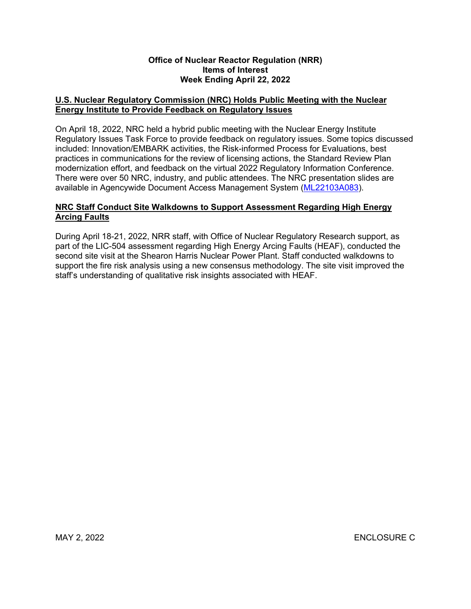#### **Office of Nuclear Reactor Regulation (NRR) Items of Interest Week Ending April 22, 2022**

## **U.S. Nuclear Regulatory Commission (NRC) Holds Public Meeting with the Nuclear Energy Institute to Provide Feedback on Regulatory Issues**

On April 18, 2022, NRC held a hybrid public meeting with the Nuclear Energy Institute Regulatory Issues Task Force to provide feedback on regulatory issues. Some topics discussed included: Innovation/EMBARK activities, the Risk-informed Process for Evaluations, best practices in communications for the review of licensing actions, the Standard Review Plan modernization effort, and feedback on the virtual 2022 Regulatory Information Conference. There were over 50 NRC, industry, and public attendees. The NRC presentation slides are available in Agencywide Document Access Management System ([ML22103A083](https://adamsxt.nrc.gov/navigator/AdamsXT/content/downloadContent.faces?objectStoreName=MainLibrary&ForceBrowserDownloadMgrPrompt=false&vsId=%7b26D3A091-D848-CD9A-84EE-802381000000%7d)).

## **NRC Staff Conduct Site Walkdowns to Support Assessment Regarding High Energy Arcing Faults**

During April 18-21, 2022, NRR staff, with Office of Nuclear Regulatory Research support, as part of the LIC-504 assessment regarding High Energy Arcing Faults (HEAF), conducted the second site visit at the Shearon Harris Nuclear Power Plant. Staff conducted walkdowns to support the fire risk analysis using a new consensus methodology. The site visit improved the staff's understanding of qualitative risk insights associated with HEAF.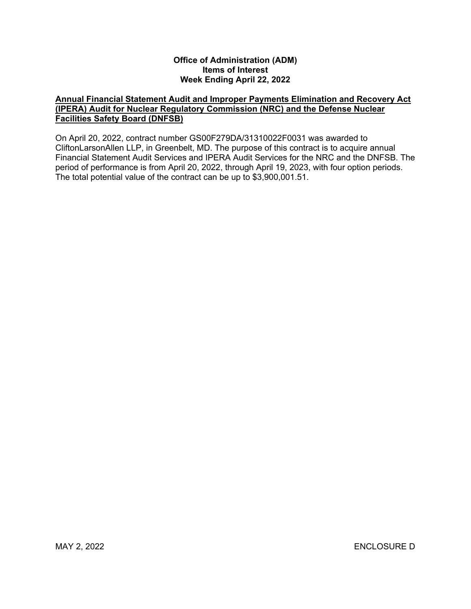#### **Office of Administration (ADM) Items of Interest Week Ending April 22, 2022**

## **Annual Financial Statement Audit and Improper Payments Elimination and Recovery Act (IPERA) Audit for Nuclear Regulatory Commission (NRC) and the Defense Nuclear Facilities Safety Board (DNFSB)**

On April 20, 2022, contract number GS00F279DA/31310022F0031 was awarded to CliftonLarsonAllen LLP, in Greenbelt, MD. The purpose of this contract is to acquire annual Financial Statement Audit Services and IPERA Audit Services for the NRC and the DNFSB. The period of performance is from April 20, 2022, through April 19, 2023, with four option periods. The total potential value of the contract can be up to \$3,900,001.51.